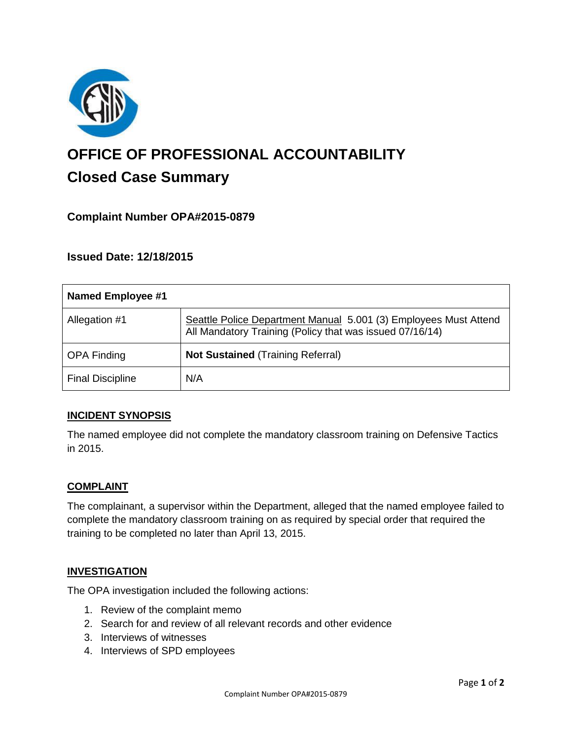

# **OFFICE OF PROFESSIONAL ACCOUNTABILITY Closed Case Summary**

# **Complaint Number OPA#2015-0879**

**Issued Date: 12/18/2015**

| Named Employee #1       |                                                                                                                              |
|-------------------------|------------------------------------------------------------------------------------------------------------------------------|
| Allegation #1           | Seattle Police Department Manual 5.001 (3) Employees Must Attend<br>All Mandatory Training (Policy that was issued 07/16/14) |
| <b>OPA Finding</b>      | <b>Not Sustained (Training Referral)</b>                                                                                     |
| <b>Final Discipline</b> | N/A                                                                                                                          |

## **INCIDENT SYNOPSIS**

The named employee did not complete the mandatory classroom training on Defensive Tactics in 2015.

## **COMPLAINT**

The complainant, a supervisor within the Department, alleged that the named employee failed to complete the mandatory classroom training on as required by special order that required the training to be completed no later than April 13, 2015.

#### **INVESTIGATION**

The OPA investigation included the following actions:

- 1. Review of the complaint memo
- 2. Search for and review of all relevant records and other evidence
- 3. Interviews of witnesses
- 4. Interviews of SPD employees